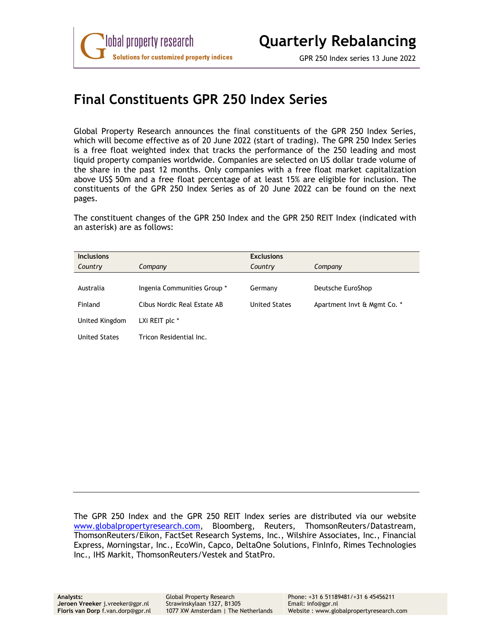

## **Final Constituents GPR 250 Index Series**

Global Property Research announces the final constituents of the GPR 250 Index Series, which will become effective as of 20 June 2022 (start of trading). The GPR 250 Index Series is a free float weighted index that tracks the performance of the 250 leading and most liquid property companies worldwide. Companies are selected on US dollar trade volume of the share in the past 12 months. Only companies with a free float market capitalization above US\$ 50m and a free float percentage of at least 15% are eligible for inclusion. The constituents of the GPR 250 Index Series as of 20 June 2022 can be found on the next pages.

The constituent changes of the GPR 250 Index and the GPR 250 REIT Index (indicated with an asterisk) are as follows:

| <b>Inclusions</b>    |                             | <b>Exclusions</b>    |                             |
|----------------------|-----------------------------|----------------------|-----------------------------|
| Country              | Company                     | Country              | Company                     |
|                      |                             |                      |                             |
| Australia            | Ingenia Communities Group * | Germany              | Deutsche EuroShop           |
| Finland              | Cibus Nordic Real Estate AB | <b>United States</b> | Apartment Invt & Mgmt Co. * |
| United Kingdom       | LXi REIT plc *              |                      |                             |
| <b>United States</b> | Tricon Residential Inc.     |                      |                             |

The GPR 250 Index and the GPR 250 REIT Index series are distributed via our website www.globalpropertyresearch.com, Bloomberg, Reuters, ThomsonReuters/Datastream, ThomsonReuters/Eikon, FactSet Research Systems, Inc., Wilshire Associates, Inc., Financial Express, Morningstar, Inc., EcoWin, Capco, DeltaOne Solutions, FinInfo, Rimes Technologies Inc., IHS Markit, ThomsonReuters/Vestek and StatPro.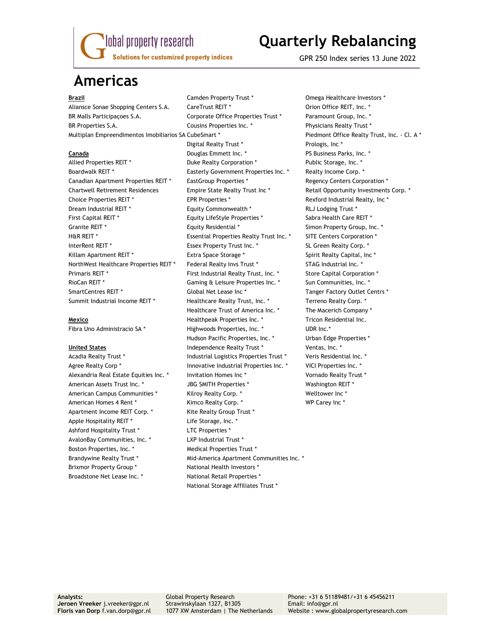

## **Quarterly Rebalancing**

GPR 250 Index series 13 June 2022

## **Americas**

Apartment Income REIT Corp. \* Kite Realty Group Trust \* Apple Hospitality REIT \* The Storage, Inc. \* Ashford Hospitality Trust \* The LTC Properties \* AvalonBay Communities, Inc. \* The Mullet LXP Industrial Trust \* Boston Properties, Inc. \* The Medical Properties Trust \* Brixmor Property Group \* National Health Investors \* Broadstone Net Lease Inc. \* National Retail Properties \*

Aliansce Sonae Shopping Centers S.A. CareTrust REIT \* The Content of Coron Office REIT, Inc. \* BR Malls Participacoes S.A. Corporate Office Properties Trust \* Paramount Group, Inc. \* BR Properties S.A. Cousins Properties Inc. \* Physicians Realty Trust \* Multiplan Empreendimentos Imobiliarios SA CubeSmart \* Piedmont Office Realty Trust, Inc. - Cl. A \* Digital Realty Trust \* The Prologis, Inc \* **Canada** Douglas Emmett Inc. \* PS Business Parks, Inc. \* Allied Properties REIT \* The Suite Realty Corporation \* The Public Storage, Inc. \* Boardwalk REIT \* The Easterly Government Properties Inc. \* The Realty Income Corp. \* Canadian Apartment Properties REIT \* EastGroup Properties \* The Regency Centers Corporation \* Chartwell Retirement Residences Empire State Realty Trust Inc \* Retail Opportunity Investments Corp. \* Choice Properties REIT \* The SEPR Properties \* The Section of Rexford Industrial Realty, Inc \* Dream Industrial REIT \* Equity Commonwealth \* RLJ Lodging Trust \* First Capital REIT \* Equity LifeStyle Properties \* Sabra Health Care REIT \* Granite REIT \* The Summary Square REIT \* The State REIT \* Simon Property Group, Inc. \* H&R REIT \* THE RESSENTIAL Properties Realty Trust Inc. \* SITE Centers Corporation \* InterRent REIT \* The Supersection of Essex Property Trust Inc. \* The SL Green Realty Corp. \* Killam Apartment REIT \* The State Space Storage \* The Spirit Realty Capital, Inc \* NorthWest Healthcare Properties REIT \* Federal Realty Invs Trust \* STAG Industrial Inc. \* Primaris REIT \* First Industrial Realty Trust, Inc. \* Store Capital Corporation \* RioCan REIT \* The Superson of Gaming & Leisure Properties Inc. \* The Sun Communities, Inc. \* SmartCentres REIT \* Tanger Factory Outlet Centrs \* Global Net Lease Inc \* Tanger Factory Outlet Centrs \* Summit Industrial Income REIT \* Healthcare Realty Trust, Inc. \* Terreno Realty Corp. \* Healthcare Trust of America Inc. \* The Macerich Company \* **Mexico** Healthpeak Properties Inc. \* Tricon Residential Inc. Fibra Uno Administracio SA \* The Highwoods Properties, Inc. \* The Muller UDR Inc. Hudson Pacific Properties, Inc. \* The Urban Edge Properties \* United States **Independence Realty Trust \*** Ventas, Inc. \* Acadia Realty Trust \* The State of Industrial Logistics Properties Trust \* The Veris Residential Inc. \* Agree Realty Corp \* The State of Innovative Industrial Properties Inc. \* The VICI Properties Inc. \* Alexandria Real Estate Equities Inc. \* Invitation Homes Inc \* The Mornado Realty Trust \* American Assets Trust Inc. \* The SMITH Properties \* The Mashington REIT \* American Campus Communities \* The Kilroy Realty Corp. \* The Multower Inc \* American Homes 4 Rent \* The Kimco Realty Corp. \* The Manuson WP Carey Inc \* Brandywine Realty Trust \* The Mid-America Apartment Communities Inc. \* National Storage Affiliates Trust \*

**Brazil Camden Property Trust \*** Omega Healthcare Investors \*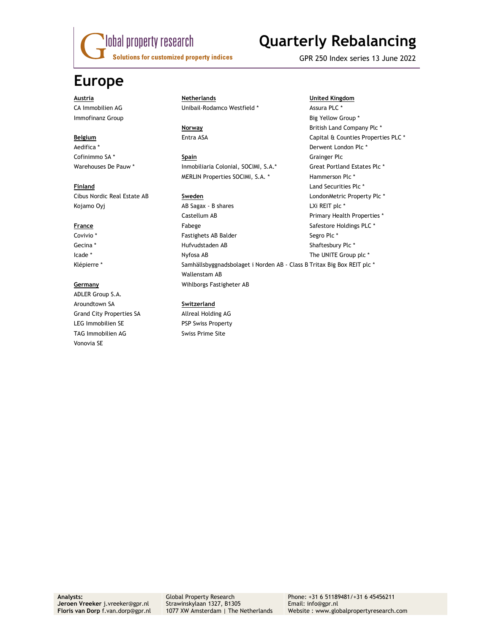

# **Quarterly Rebalancing**

GPR 250 Index series 13 June 2022

## **Europe**

Cibus Nordic Real Estate AB **Sweden** LondonMetric Property Plc \*

ADLER Group S.A. Aroundtown SA **Switzerland**  Grand City Properties SA Allreal Holding AG LEG Immobilien SE PSP Swiss Property TAG Immobilien AG Swiss Prime Site Vonovia SE

## **Austria Netherlands United Kingdom** CA Immobilien AG **CA Immobilien AG** Unibail-Rodamco Westfield \* Assura PLC \*

## Cofinimmo SA<sup>\*</sup> **Spain Spain Grainger Plc** Warehouses De Pauw \* Inmobiliaria Colonial, SOCIMI, S.A.\* Great Portland Estates Plc \* MERLIN Properties SOCIMI, S.A. \* Hammerson Plc \*

Kojamo Oyj AB Sagax - B shares LXi REIT plc \* Castellum AB **Primary Health Properties** \* **France Fabege** Fabege **Safestore Holdings PLC** \* Covivio \* The Segro Plc \* Fastighets AB Balder Segro Plc \* Segro Plc \* Gecina \* The Shaftesbury Plc \* Hufvudstaden AB Shaftesbury Plc \* Shaftesbury Plc \* Icade \* The UNITE Group plc \* Nyfosa AB The UNITE Group plc \* Klépierre \* Samhällsbyggnadsbolaget i Norden AB - Class B Tritax Big Box REIT plc \* Wallenstam AB **Germany** Wihlborgs Fastigheter AB

Immofinanz Group **Big Yellow Group \* Big Yellow Group \* Big Yellow Group \* Big Yellow Group \* Norway 1988 Norway 1988 British Land Company Plc \* Belgium Entra ASA** Entra ASA Capital & Counties Properties PLC \* Aedifica \* Derwent London Plc \* **Finland Land Securities Plc \* Contract Planet Securities Plc \* Land Securities Plc \***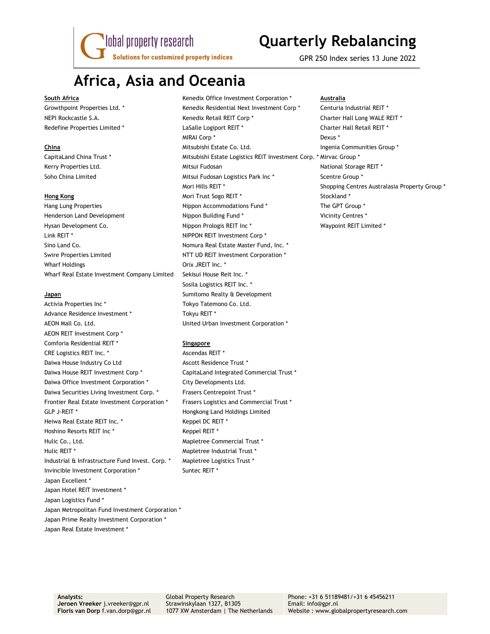lobal property research **Solutions for customized property indices** 

## **Quarterly Rebalancing**

GPR 250 Index series 13 June 2022

## **Africa, Asia and Oceania**

Henderson Land Development Nippon Building Fund \* Vicinity Centres \* Hysan Development Co. The Superson of the Nippon Prologis REIT Inc \* The Number of Waypoint REIT Limited \* Link REIT \* NIPPON REIT Investment Corp \* Sino Land Co. **Nomura Real Estate Master Fund, Inc. \*** Nomura Real Estate Master Fund, Inc. \* Swire Properties Limited NTT UD REIT Investment Corporation \* Wharf Holdings **Orix JREIT** Inc. \* Wharf Real Estate Investment Company Limited Sekisui House Reit Inc. \*

Activia Properties Inc \* Tokyo Tatemono Co. Ltd. Advance Residence Investment \* Tokyu REIT \* AEON Mall Co. Ltd. United Urban Investment Corporation \* AEON REIT Investment Corp \* Comforia Residential REIT \* **Singapore** CRE Logistics REIT Inc. \* Ascendas REIT \* Daiwa House Industry Co Ltd Ascott Residence Trust \* Daiwa House REIT Investment Corp \* CapitaLand Integrated Commercial Trust \* Daiwa Office Investment Corporation \* City Developments Ltd. Daiwa Securities Living Investment Corp. \* Frasers Centrepoint Trust \* Frontier Real Estate Investment Corporation \* Frasers Logistics and Commercial Trust \* GLP J-REIT \* The Matter of the Hongkong Land Holdings Limited Heiwa Real Estate REIT Inc. \* The Mercedes Repel DC REIT \* Hoshino Resorts REIT Inc \* Keppel REIT \* Hulic Co., Ltd. **Mapletree Commercial Trust** \* Hulic REIT \* The Mapletree Industrial Trust \* Industrial & Infrastructure Fund Invest. Corp. \* Mapletree Logistics Trust \* Invincible Investment Corporation \* Suntec REIT \* Japan Excellent \* Japan Hotel REIT Investment \* Japan Logistics Fund \* Japan Metropolitan Fund Investment Corporation \* Japan Prime Realty Investment Corporation \* Japan Real Estate Investment \*

**South Africa Kenedix Office Investment Corporation \* Australia Australia Australia** Growthpoint Properties Ltd. \* The Stenedix Residential Next Investment Corp \* The Centuria Industrial REIT \* NEPI Rockcastle S.A. The S.A. Kenedix Retail REIT Corp \* The Sharter Hall Long WALE REIT \* Redefine Properties Limited \* The State LaSalle Logiport REIT \* The State Charter Hall Retail REIT \* MIRAI Corp \* Dexus \* **China Mitsubishi Estate Co. Ltd.** Ingenia Communities Group \* and The Mitsubishi Estate Co. Ltd. CapitaLand China Trust \* Mitsubishi Estate Logistics REIT Investment Corp. \* Mirvac Group \* Kerry Properties Ltd. The Mitsui Fudosan National Storage REIT \* Soho China Limited **Mitsui Fudosan Logistics Park Inc \*** Scentre Group \* Mori Hills REIT \* Shopping Centres Australasia Property Group \* **Hong Kong Mori Trust Sogo REIT \*** Stockland \* Stockland \* Stockland \* Stockland \* Stockland \* Stockland \* Stockland \* Stockland \* Stockland \* Stockland \* Stockland \* Stockland \* Stockland \* Stockland \* Stockland \* Stock Hang Lung Properties The GPT Group \* Nippon Accommodations Fund \* The GPT Group \* Sosila Logistics REIT Inc. \* **Japan Sumitomo Realty & Development**